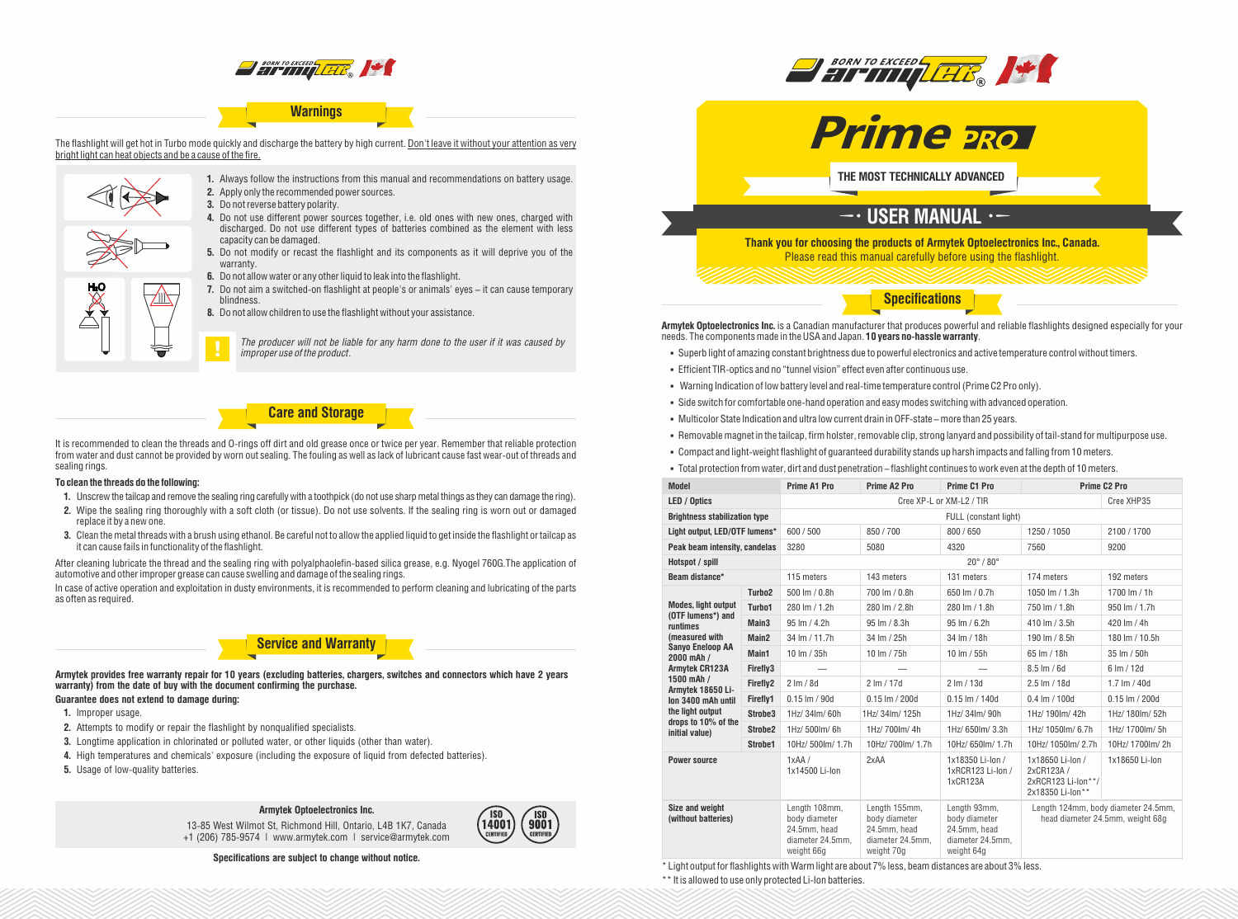

# **Warnings**

The flashlight will get hot in Turbo mode quickly and discharge the battery by high current. Don't leave it without your attention as very bright light can heat objects and be a cause of the fire.



- **1.** Always follow the instructions from this manual and recommendations on battery usage. **2.** Apply only the recommended power sources.
- **3.** Do not reverse battery polarity.
- **4.** Do not use different power sources together, i.e. old ones with new ones, charged with discharged. Do not use different types of batteries combined as the element with less capacity can be damaged.
- **5.** Do not modify or recast the flashlight and its components as it will deprive you of the warranty.
- **6.** Do not allow water or any other liquid to leak into the flashlight.
- **7.** Do not aim a switched-on flashlight at people's or animals' eyes it can cause temporary blindness.
	- **8.** Do not allow children to use the flashlight without your assistance.



### **Care and Storage**

It is recommended to clean the threads and O-rings off dirt and old grease once or twice per year. Remember that reliable protection from water and dust cannot be provided by worn out sealing. The fouling as well as lack of lubricant cause fast wear-out of threads and sealing rings.

#### **To clean the threads do the following:**

- **1.** Unscrew the tailcap and remove the sealing ring carefully with a toothpick (do not use sharp metal things as they can damage the ring).
- **2.** Wipe the sealing ring thoroughly with a soft cloth (or tissue). Do not use solvents. If the sealing ring is worn out or damaged replace it by a new one.
- **3.** Clean the metal threads with a brush using ethanol. Be careful not to allow the applied liquid to get inside the flashlight or tailcap as it can cause fails in functionality of the flashlight.

After cleaning lubricate the thread and the sealing ring with polyalphaolefin-based silica grease, e.g. Nyogel 760G.The application of automotive and other improper grease can cause swelling and damage of the sealing rings.

In case of active operation and exploitation in dusty environments, it is recommended to perform cleaning and lubricating of the parts as often as required.

### **Service and Warranty**

**Armytek provides free warranty repair for 10 years (excluding batteries, chargers, switches and connectors which have 2 years warranty) from the date of buy with the document confirming the purchase. Guarantee does not extend to damage during:**

- **1.** Improper usage.
- **2.** Attempts to modify or repair the flashlight by nonqualified specialists.
- **3.** Longtime application in chlorinated or polluted water, or other liquids (other than water).
- **4.** High temperatures and chemicals' exposure (including the exposure of liquid from defected batteries).
- **5.** Usage of low-quality batteries.

#### **Armytek Optoelectronics Inc.**

13-85 West Wilmot St, Richmond Hill, Ontario, L4B 1K7, Canada +1 (206) 785-9574 | www.armytek.com | service@armytek.com





BORN TO EXCEED THE THE THE T



**THE MOST TECHNICALLY ADVANCED**

### $\overline{\phantom{a}}$  USER MANUAL  $\cdot$  –

**Thank you for choosing the products of Armytek Optoelectronics Inc., Canada.** Please read this manual carefully before using the flashlight.

**Specifications**

**Armytek Optoelectronics Inc.** is a Canadian manufacturer that produces powerful and reliable flashlights designed especially for your needs. The components made in the USA and Japan. **10 years no-hassle warranty**.

- § Superb light of amazing constant brightness due to powerful electronics and active temperature control without timers.
- § Efficient TIR-optics and no "tunnel vision" effect even after continuous use.
- § Warning Indication of low battery level and real-time temperature control(Prime C2 Pro only).
- § Side switch for comfortable one-hand operation and easy modes switching with advanced operation.
- § Multicolor State Indication and ultra low current drain in OFF-state more than 25 years.
- § Removable magnet in the tailcap, firm holster, removable clip, strong lanyard and possibility of tail-stand for multipurpose use.
- § Compact and light-weight flashlight of guaranteed durability stands up harsh impacts and falling from 10 meters.
- § Total protection from water, dirt and dust penetration flashlight continues to work even at the depth of 10 meters.

| <b>Model</b>                                                                                                                                                                                                                                                   |                     | <b>Prime A1 Pro</b>                                                              | Prime A2 Pro                                                                     | <b>Prime C1 Pro</b>                                                             | <b>Prime C2 Pro</b>                                                     |                                     |
|----------------------------------------------------------------------------------------------------------------------------------------------------------------------------------------------------------------------------------------------------------------|---------------------|----------------------------------------------------------------------------------|----------------------------------------------------------------------------------|---------------------------------------------------------------------------------|-------------------------------------------------------------------------|-------------------------------------|
| LED / Optics                                                                                                                                                                                                                                                   |                     | Cree XP-L or XM-L2 / TIR                                                         |                                                                                  |                                                                                 |                                                                         | Cree XHP35                          |
| <b>Brightness stabilization type</b>                                                                                                                                                                                                                           |                     | FULL (constant light)                                                            |                                                                                  |                                                                                 |                                                                         |                                     |
| Light output, LED/OTF lumens*                                                                                                                                                                                                                                  |                     | 600 / 500                                                                        | 850/700                                                                          | 800/650                                                                         | 1250/1050                                                               | 2100/1700                           |
| Peak beam intensity, candelas                                                                                                                                                                                                                                  |                     | 3280                                                                             | 5080                                                                             | 4320                                                                            | 7560                                                                    | 9200                                |
| Hotspot / spill                                                                                                                                                                                                                                                |                     | $20^{\circ}$ / $80^{\circ}$                                                      |                                                                                  |                                                                                 |                                                                         |                                     |
| Beam distance*                                                                                                                                                                                                                                                 |                     | 115 meters                                                                       | 143 meters                                                                       | 131 meters                                                                      | 174 meters                                                              | 192 meters                          |
| <b>Modes, light output</b><br>(OTF lumens*) and<br>runtimes<br>(measured with<br><b>Sanvo Eneloop AA</b><br>2000 mAh /<br>Armytek CR123A<br>1500 mAh /<br>Armytek 18650 Li-<br>lon 3400 mAh until<br>the light output<br>drops to 10% of the<br>initial value) | Turbo <sub>2</sub>  | 500 lm / 0.8h                                                                    | 700 lm / 0.8h                                                                    | 650 lm / 0.7h                                                                   | 1050 lm / 1.3h                                                          | 1700 $Im / 1h$                      |
|                                                                                                                                                                                                                                                                | Turbo1              | 280 lm / 1.2h                                                                    | 280 lm / 2.8h                                                                    | 280 lm / 1.8h                                                                   | 750 lm / 1.8h                                                           | 950 lm / 1.7h                       |
|                                                                                                                                                                                                                                                                | Main <sub>3</sub>   | 95 lm / 4.2h                                                                     | 95 lm / 8.3h                                                                     | 95 lm / 6.2h                                                                    | 410 lm / 3.5h                                                           | 420 lm / 4h                         |
|                                                                                                                                                                                                                                                                | Main <sub>2</sub>   | 34 lm / 11.7h                                                                    | 34 Im / 25h                                                                      | 34 Im / 18h                                                                     | 190 lm / 8.5h                                                           | 180 lm / 10.5h                      |
|                                                                                                                                                                                                                                                                | Main1               | 10 $Im / 35h$                                                                    | 10 lm / 75h                                                                      | 10 lm / 55h                                                                     | 65 lm / 18h                                                             | 35 lm / 50h                         |
|                                                                                                                                                                                                                                                                | Firefly3            |                                                                                  |                                                                                  |                                                                                 | $8.5 \,$ lm $/ 6d$                                                      | 6 lm / 12d                          |
|                                                                                                                                                                                                                                                                | Firefly2            | $2 \, \text{Im} / 8d$                                                            | $2 \, \text{Im} / 17 \, \text{d}$                                                | $2 \text{ Im} / 13d$                                                            | $2.5 \, \text{Im} / 18d$                                                | $1.7 \, \text{Im} / 40 \, \text{d}$ |
|                                                                                                                                                                                                                                                                | Firefly1            | $0.15$ Im / 90d                                                                  | $0.15$ Im / 200d                                                                 | $0.15$ lm / 140d                                                                | $0.4 \,$ lm $/ 100d$                                                    | $0.15$ lm $/$ 200d                  |
|                                                                                                                                                                                                                                                                | Strobe3             | 1Hz/34lm/60h                                                                     | 1Hz/34lm/125h                                                                    | 1Hz/ 34lm/ 90h                                                                  | 1Hz/ 190Im/ 42h                                                         | 1Hz/ 180lm/ 52h                     |
|                                                                                                                                                                                                                                                                | Strobe <sub>2</sub> | 1Hz/ 500lm/ 6h                                                                   | 1Hz/700lm/4h                                                                     | 1Hz/650lm/3.3h                                                                  | 1Hz/ 1050lm/ 6.7h                                                       | 1Hz/ 1700lm/ 5h                     |
|                                                                                                                                                                                                                                                                | Strobe1             | 10Hz/ 500lm/ 1.7h                                                                | 10Hz/700lm/1.7h                                                                  | 10Hz/ 650lm/ 1.7h                                                               | 10Hz/ 1050lm/ 2.7h                                                      | 10Hz/1700lm/2h                      |
| <b>Power source</b>                                                                                                                                                                                                                                            |                     | 1xAA/<br>1x14500 Li-lon                                                          | 2xAA                                                                             | 1x18350 Li-Ion /<br>1xRCR123 Li-lon /<br>1xCR123A                               | 1x18650 Li-Ion /<br>2xCR123A/<br>2xRCR123 Li-lon**/<br>2x18350 Li-lon** | 1x18650 Li-lon                      |
| Size and weight<br>(without batteries)                                                                                                                                                                                                                         |                     | Length 108mm,<br>body diameter<br>24.5mm, head<br>diameter 24.5mm,<br>weight 66g | Length 155mm,<br>body diameter<br>24.5mm, head<br>diameter 24.5mm,<br>weight 70g | Length 93mm,<br>body diameter<br>24.5mm, head<br>diameter 24.5mm,<br>weight 64g | Length 124mm, body diameter 24.5mm,<br>head diameter 24.5mm, weight 68g |                                     |

\* Light output for flashlights with Warm light are about 7% less, beam distances are about 3% less. \*\* It is allowed to use only protected Li-Ion batteries.